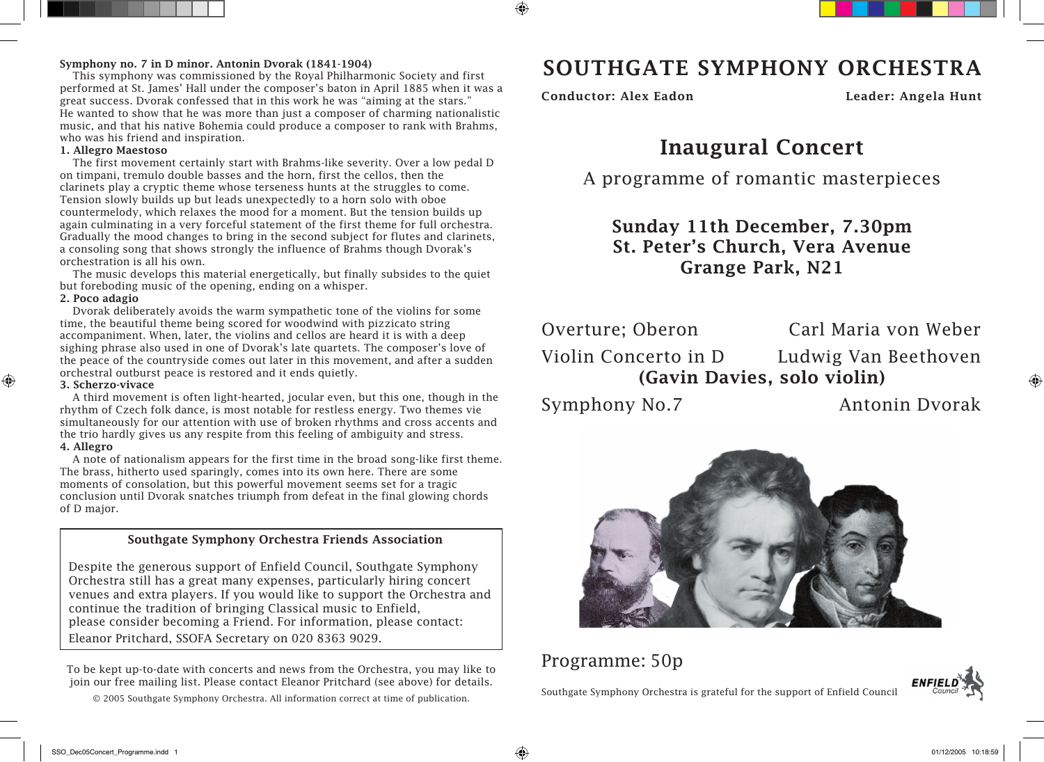### Symphony no. 7 in D minor. Antonin Dvorak (1841-1904)

This symphony was commissioned by the Royal Philharmonic Society and first performed at St. James' Hall under the composer's baton in April 1885 when it was a great success. Dvorak confessed that in this work he was "aiming at the stars." He wanted to show that he was more than just a composer of charming nationalistic music, and that his native Bohemia could produce a composer to rank with Brahms, who was his friend and inspiration.

### 1. Allegro Maestoso

The first movement certainly start with Brahms-like severity. Over a low pedal D on timpani, tremulo double basses and the horn, first the cellos, then the clarinets play a cryptic theme whose terseness hunts at the struggles to come. Tension slowly builds up but leads unexpectedly to a horn solo with oboe countermelody, which relaxes the mood for a moment. But the tension builds up again culminating in a very forceful statement of the first theme for full orchestra. Gradually the mood changes to bring in the second subject for flutes and clarinets, a consoling song that shows strongly the influence of Brahms though Dvorak's orchestration is all his own.

The music develops this material energetically, but finally subsides to the quiet but foreboding music of the opening, ending on a whisper.

### 2. Poco adagio

Dvorak deliberately avoids the warm sympathetic tone of the violins for some time, the beautiful theme being scored for woodwind with pizzicato string accompaniment. When, later, the violins and cellos are heard it is with a deep sighing phrase also used in one of Dvorak's late quartets. The composer's love of the peace of the countryside comes out later in this movement, and after a sudden orchestral outburst peace is restored and it ends quietly.

### 3. Scherzo-vivace

A third movement is often light-hearted, jocular even, but this one, though in the rhythm of Czech folk dance, is most notable for restless energy. Two themes vie simultaneously for our attention with use of broken rhythms and cross accents and the trio hardly gives us any respite from this feeling of ambiguity and stress.

### 4. Allegro

⊕

A note of nationalism appears for the first time in the broad song-like first theme. The brass, hitherto used sparingly, comes into its own here. There are some moments of consolation, but this powerful movement seems set for a tragic conclusion until Dvorak snatches triumph from defeat in the final glowing chords of D major.

### Southgate Symphony Orchestra Friends Association

Despite the generous support of Enfield Council, Southgate Symphony Orchestra still has a great many expenses, particularly hiring concert venues and extra players. If you would like to support the Orchestra and continue the tradition of bringing Classical music to Enfield, please consider becoming a Friend. For information, please contact: Eleanor Pritchard, SSOFA Secretary on 020 8363 9029.

To be kept up-to-date with concerts and news from the Orchestra, you may like to join our free mailing list. Please contact Eleanor Pritchard (see above) for details.

© 2005 Southgate Symphony Orchestra. All information correct at time of publication.

## SOUTHGATE SYMPHONY ORCHESTRA

Conductor: Alex Eadon Leader: Angela Hunt

# Inaugural Concert

A programme of romantic masterpieces

## Sunday 11th December, 7.30pm St. Peter's Church, Vera Avenue Grange Park, N21

Overture; Oberon Carl Maria von Weber

Violin Concerto in D Ludwig Van Beethoven (Gavin Davies, solo violin)

Symphony No.7 Antonin Dvorak

◈



### Programme: 50p

Southgate Symphony Orchestra is grateful for the support of Enfield Council